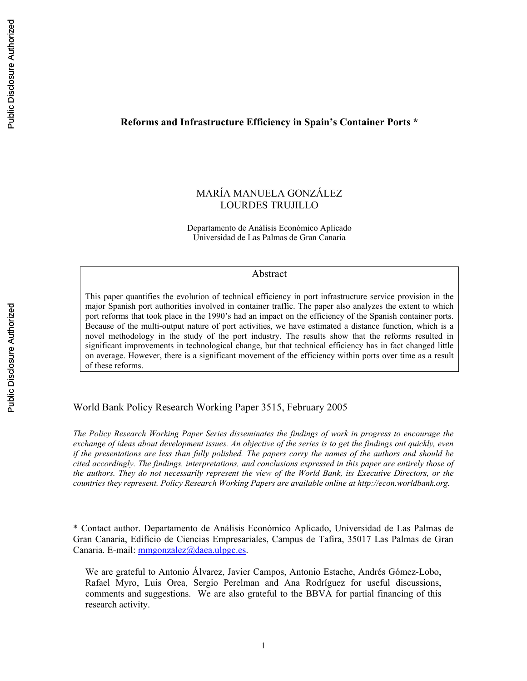#### **Reforms and Infrastructure Efficiency in Spain's Container Ports \***

## MARÍA MANUELA GONZÁLEZ LOURDES TRUJILLO

Departamento de Análisis Económico Aplicado Universidad de Las Palmas de Gran Canaria

#### Abstract

This paper quantifies the evolution of technical efficiency in port infrastructure service provision in the major Spanish port authorities involved in container traffic. The paper also analyzes the extent to which port reforms that took place in the 1990's had an impact on the efficiency of the Spanish container ports. Because of the multi-output nature of port activities, we have estimated a distance function, which is a novel methodology in the study of the port industry. The results show that the reforms resulted in significant improvements in technological change, but that technical efficiency has in fact changed little on average. However, there is a significant movement of the efficiency within ports over time as a result of these reforms.

World Bank Policy Research Working Paper 3515, February 2005

*The Policy Research Working Paper Series disseminates the findings of work in progress to encourage the exchange of ideas about development issues. An objective of the series is to get the findings out quickly, even if the presentations are less than fully polished. The papers carry the names of the authors and should be cited accordingly. The findings, interpretations, and conclusions expressed in this paper are entirely those of the authors. They do not necessarily represent the view of the World Bank, its Executive Directors, or the countries they represent. Policy Research Working Papers are available online at http://econ.worldbank.org.* 

\* Contact author. Departamento de Análisis Económico Aplicado, Universidad de Las Palmas de Gran Canaria, Edificio de Ciencias Empresariales, Campus de Tafira, 35017 Las Palmas de Gran Canaria. E-mail: mmgonzalez@daea.ulpgc.es.

We are grateful to Antonio Álvarez, Javier Campos, Antonio Estache, Andrés Gómez-Lobo, Rafael Myro, Luis Orea, Sergio Perelman and Ana Rodríguez for useful discussions, comments and suggestions. We are also grateful to the BBVA for partial financing of this research activity.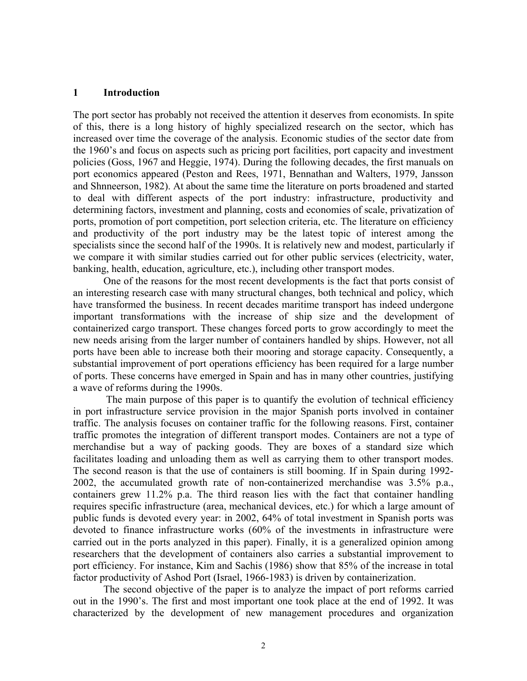#### **1 Introduction**

The port sector has probably not received the attention it deserves from economists. In spite of this, there is a long history of highly specialized research on the sector, which has increased over time the coverage of the analysis. Economic studies of the sector date from the 1960's and focus on aspects such as pricing port facilities, port capacity and investment policies (Goss, 1967 and Heggie, 1974). During the following decades, the first manuals on port economics appeared (Peston and Rees, 1971, Bennathan and Walters, 1979, Jansson and Shnneerson, 1982). At about the same time the literature on ports broadened and started to deal with different aspects of the port industry: infrastructure, productivity and determining factors, investment and planning, costs and economies of scale, privatization of ports, promotion of port competition, port selection criteria, etc. The literature on efficiency and productivity of the port industry may be the latest topic of interest among the specialists since the second half of the 1990s. It is relatively new and modest, particularly if we compare it with similar studies carried out for other public services (electricity, water, banking, health, education, agriculture, etc.), including other transport modes.

One of the reasons for the most recent developments is the fact that ports consist of an interesting research case with many structural changes, both technical and policy, which have transformed the business. In recent decades maritime transport has indeed undergone important transformations with the increase of ship size and the development of containerized cargo transport. These changes forced ports to grow accordingly to meet the new needs arising from the larger number of containers handled by ships. However, not all ports have been able to increase both their mooring and storage capacity. Consequently, a substantial improvement of port operations efficiency has been required for a large number of ports. These concerns have emerged in Spain and has in many other countries, justifying a wave of reforms during the 1990s.

 The main purpose of this paper is to quantify the evolution of technical efficiency in port infrastructure service provision in the major Spanish ports involved in container traffic. The analysis focuses on container traffic for the following reasons. First, container traffic promotes the integration of different transport modes. Containers are not a type of merchandise but a way of packing goods. They are boxes of a standard size which facilitates loading and unloading them as well as carrying them to other transport modes. The second reason is that the use of containers is still booming. If in Spain during 1992- 2002, the accumulated growth rate of non-containerized merchandise was 3.5% p.a., containers grew 11.2% p.a. The third reason lies with the fact that container handling requires specific infrastructure (area, mechanical devices, etc.) for which a large amount of public funds is devoted every year: in 2002, 64% of total investment in Spanish ports was devoted to finance infrastructure works (60% of the investments in infrastructure were carried out in the ports analyzed in this paper). Finally, it is a generalized opinion among researchers that the development of containers also carries a substantial improvement to port efficiency. For instance, Kim and Sachis (1986) show that 85% of the increase in total factor productivity of Ashod Port (Israel, 1966-1983) is driven by containerization.

The second objective of the paper is to analyze the impact of port reforms carried out in the 1990's. The first and most important one took place at the end of 1992. It was characterized by the development of new management procedures and organization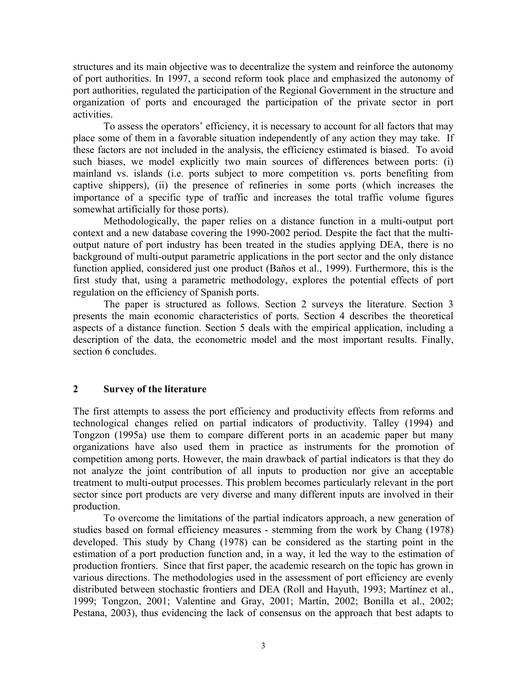structures and its main objective was to decentralize the system and reinforce the autonomy of port authorities. In 1997, a second reform took place and emphasized the autonomy of port authorities, regulated the participation of the Regional Government in the structure and organization of ports and encouraged the participation of the private sector in port activities.

To assess the operators' efficiency, it is necessary to account for all factors that may place some of them in a favorable situation independently of any action they may take. If these factors are not included in the analysis, the efficiency estimated is biased. To avoid such biases, we model explicitly two main sources of differences between ports: (i) mainland vs. islands (i.e. ports subject to more competition vs. ports benefiting from captive shippers), (ii) the presence of refineries in some ports (which increases the importance of a specific type of traffic and increases the total traffic volume figures somewhat artificially for those ports).

Methodologically, the paper relies on a distance function in a multi-output port context and a new database covering the 1990-2002 period. Despite the fact that the multioutput nature of port industry has been treated in the studies applying DEA, there is no background of multi-output parametric applications in the port sector and the only distance function applied, considered just one product (Baños et al., 1999). Furthermore, this is the first study that, using a parametric methodology, explores the potential effects of port regulation on the efficiency of Spanish ports.

The paper is structured as follows. Section 2 surveys the literature. Section 3 presents the main economic characteristics of ports. Section 4 describes the theoretical aspects of a distance function. Section 5 deals with the empirical application, including a description of the data, the econometric model and the most important results. Finally, section 6 concludes.

### **2 Survey of the literature**

The first attempts to assess the port efficiency and productivity effects from reforms and technological changes relied on partial indicators of productivity. Talley (1994) and Tongzon (1995a) use them to compare different ports in an academic paper but many organizations have also used them in practice as instruments for the promotion of competition among ports. However, the main drawback of partial indicators is that they do not analyze the joint contribution of all inputs to production nor give an acceptable treatment to multi-output processes. This problem becomes particularly relevant in the port sector since port products are very diverse and many different inputs are involved in their production.

To overcome the limitations of the partial indicators approach, a new generation of studies based on formal efficiency measures - stemming from the work by Chang (1978) developed. This study by Chang (1978) can be considered as the starting point in the estimation of a port production function and, in a way, it led the way to the estimation of production frontiers. Since that first paper, the academic research on the topic has grown in various directions. The methodologies used in the assessment of port efficiency are evenly distributed between stochastic frontiers and DEA (Roll and Hayuth, 1993; Martínez et al., 1999; Tongzon, 2001; Valentine and Gray, 2001; Martín, 2002; Bonilla et al., 2002; Pestana, 2003), thus evidencing the lack of consensus on the approach that best adapts to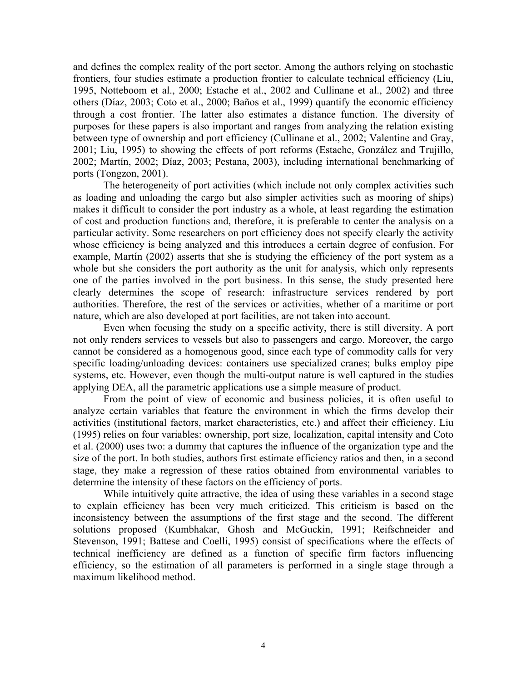and defines the complex reality of the port sector. Among the authors relying on stochastic frontiers, four studies estimate a production frontier to calculate technical efficiency (Liu, 1995, Notteboom et al., 2000; Estache et al., 2002 and Cullinane et al., 2002) and three others (Díaz, 2003; Coto et al., 2000; Baños et al., 1999) quantify the economic efficiency through a cost frontier. The latter also estimates a distance function. The diversity of purposes for these papers is also important and ranges from analyzing the relation existing between type of ownership and port efficiency (Cullinane et al., 2002; Valentine and Gray, 2001; Liu, 1995) to showing the effects of port reforms (Estache, González and Trujillo, 2002; Martín, 2002; Díaz, 2003; Pestana, 2003), including international benchmarking of ports (Tongzon, 2001).

The heterogeneity of port activities (which include not only complex activities such as loading and unloading the cargo but also simpler activities such as mooring of ships) makes it difficult to consider the port industry as a whole, at least regarding the estimation of cost and production functions and, therefore, it is preferable to center the analysis on a particular activity. Some researchers on port efficiency does not specify clearly the activity whose efficiency is being analyzed and this introduces a certain degree of confusion. For example, Martín (2002) asserts that she is studying the efficiency of the port system as a whole but she considers the port authority as the unit for analysis, which only represents one of the parties involved in the port business. In this sense, the study presented here clearly determines the scope of research: infrastructure services rendered by port authorities. Therefore, the rest of the services or activities, whether of a maritime or port nature, which are also developed at port facilities, are not taken into account.

Even when focusing the study on a specific activity, there is still diversity. A port not only renders services to vessels but also to passengers and cargo. Moreover, the cargo cannot be considered as a homogenous good, since each type of commodity calls for very specific loading/unloading devices: containers use specialized cranes; bulks employ pipe systems, etc. However, even though the multi-output nature is well captured in the studies applying DEA, all the parametric applications use a simple measure of product.

From the point of view of economic and business policies, it is often useful to analyze certain variables that feature the environment in which the firms develop their activities (institutional factors, market characteristics, etc.) and affect their efficiency. Liu (1995) relies on four variables: ownership, port size, localization, capital intensity and Coto et al. (2000) uses two: a dummy that captures the influence of the organization type and the size of the port. In both studies, authors first estimate efficiency ratios and then, in a second stage, they make a regression of these ratios obtained from environmental variables to determine the intensity of these factors on the efficiency of ports.

While intuitively quite attractive, the idea of using these variables in a second stage to explain efficiency has been very much criticized. This criticism is based on the inconsistency between the assumptions of the first stage and the second. The different solutions proposed (Kumbhakar, Ghosh and McGuckin, 1991; Reifschneider and Stevenson, 1991; Battese and Coelli, 1995) consist of specifications where the effects of technical inefficiency are defined as a function of specific firm factors influencing efficiency, so the estimation of all parameters is performed in a single stage through a maximum likelihood method.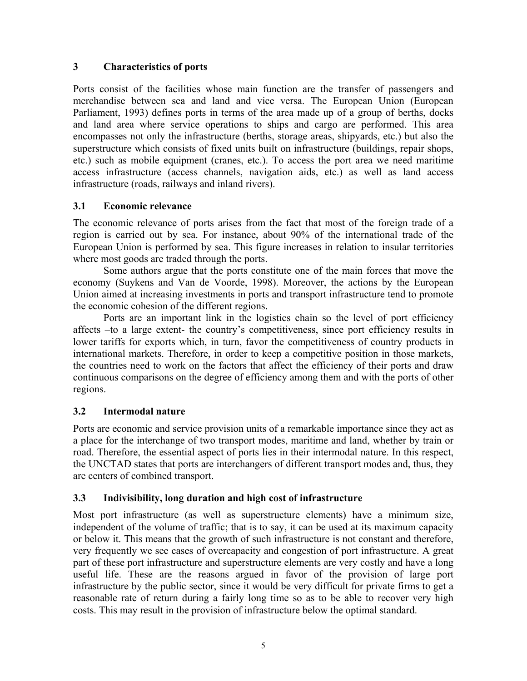# **3 Characteristics of ports**

Ports consist of the facilities whose main function are the transfer of passengers and merchandise between sea and land and vice versa. The European Union (European Parliament, 1993) defines ports in terms of the area made up of a group of berths, docks and land area where service operations to ships and cargo are performed. This area encompasses not only the infrastructure (berths, storage areas, shipyards, etc.) but also the superstructure which consists of fixed units built on infrastructure (buildings, repair shops, etc.) such as mobile equipment (cranes, etc.). To access the port area we need maritime access infrastructure (access channels, navigation aids, etc.) as well as land access infrastructure (roads, railways and inland rivers).

# **3.1 Economic relevance**

The economic relevance of ports arises from the fact that most of the foreign trade of a region is carried out by sea. For instance, about 90% of the international trade of the European Union is performed by sea. This figure increases in relation to insular territories where most goods are traded through the ports.

Some authors argue that the ports constitute one of the main forces that move the economy (Suykens and Van de Voorde, 1998). Moreover, the actions by the European Union aimed at increasing investments in ports and transport infrastructure tend to promote the economic cohesion of the different regions.

Ports are an important link in the logistics chain so the level of port efficiency affects –to a large extent- the country's competitiveness, since port efficiency results in lower tariffs for exports which, in turn, favor the competitiveness of country products in international markets. Therefore, in order to keep a competitive position in those markets, the countries need to work on the factors that affect the efficiency of their ports and draw continuous comparisons on the degree of efficiency among them and with the ports of other regions.

## **3.2 Intermodal nature**

Ports are economic and service provision units of a remarkable importance since they act as a place for the interchange of two transport modes, maritime and land, whether by train or road. Therefore, the essential aspect of ports lies in their intermodal nature. In this respect, the UNCTAD states that ports are interchangers of different transport modes and, thus, they are centers of combined transport.

# **3.3 Indivisibility, long duration and high cost of infrastructure**

Most port infrastructure (as well as superstructure elements) have a minimum size, independent of the volume of traffic; that is to say, it can be used at its maximum capacity or below it. This means that the growth of such infrastructure is not constant and therefore, very frequently we see cases of overcapacity and congestion of port infrastructure. A great part of these port infrastructure and superstructure elements are very costly and have a long useful life. These are the reasons argued in favor of the provision of large port infrastructure by the public sector, since it would be very difficult for private firms to get a reasonable rate of return during a fairly long time so as to be able to recover very high costs. This may result in the provision of infrastructure below the optimal standard.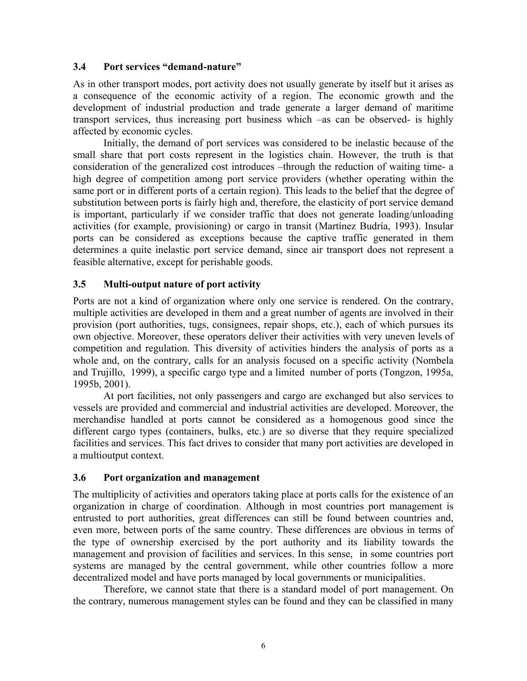### **3.4 Port services "demand-nature"**

As in other transport modes, port activity does not usually generate by itself but it arises as a consequence of the economic activity of a region. The economic growth and the development of industrial production and trade generate a larger demand of maritime transport services, thus increasing port business which –as can be observed- is highly affected by economic cycles.

Initially, the demand of port services was considered to be inelastic because of the small share that port costs represent in the logistics chain. However, the truth is that consideration of the generalized cost introduces –through the reduction of waiting time- a high degree of competition among port service providers (whether operating within the same port or in different ports of a certain region). This leads to the belief that the degree of substitution between ports is fairly high and, therefore, the elasticity of port service demand is important, particularly if we consider traffic that does not generate loading/unloading activities (for example, provisioning) or cargo in transit (Martínez Budría, 1993). Insular ports can be considered as exceptions because the captive traffic generated in them determines a quite inelastic port service demand, since air transport does not represent a feasible alternative, except for perishable goods.

## **3.5 Multi-output nature of port activity**

Ports are not a kind of organization where only one service is rendered. On the contrary, multiple activities are developed in them and a great number of agents are involved in their provision (port authorities, tugs, consignees, repair shops, etc.), each of which pursues its own objective. Moreover, these operators deliver their activities with very uneven levels of competition and regulation. This diversity of activities hinders the analysis of ports as a whole and, on the contrary, calls for an analysis focused on a specific activity (Nombela and Trujillo, 1999), a specific cargo type and a limited number of ports (Tongzon, 1995a, 1995b, 2001).

At port facilities, not only passengers and cargo are exchanged but also services to vessels are provided and commercial and industrial activities are developed. Moreover, the merchandise handled at ports cannot be considered as a homogenous good since the different cargo types (containers, bulks, etc.) are so diverse that they require specialized facilities and services. This fact drives to consider that many port activities are developed in a multioutput context.

## **3.6 Port organization and management**

The multiplicity of activities and operators taking place at ports calls for the existence of an organization in charge of coordination. Although in most countries port management is entrusted to port authorities, great differences can still be found between countries and, even more, between ports of the same country. These differences are obvious in terms of the type of ownership exercised by the port authority and its liability towards the management and provision of facilities and services. In this sense, in some countries port systems are managed by the central government, while other countries follow a more decentralized model and have ports managed by local governments or municipalities.

Therefore, we cannot state that there is a standard model of port management. On the contrary, numerous management styles can be found and they can be classified in many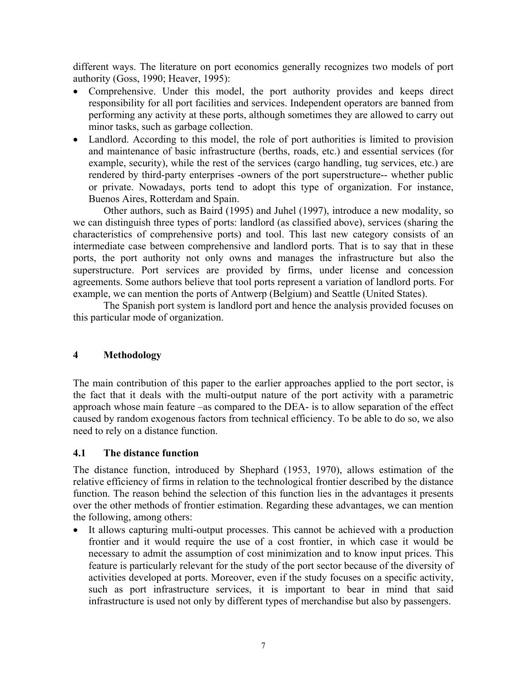different ways. The literature on port economics generally recognizes two models of port authority (Goss, 1990; Heaver, 1995):

- Comprehensive. Under this model, the port authority provides and keeps direct responsibility for all port facilities and services. Independent operators are banned from performing any activity at these ports, although sometimes they are allowed to carry out minor tasks, such as garbage collection.
- Landlord. According to this model, the role of port authorities is limited to provision and maintenance of basic infrastructure (berths, roads, etc.) and essential services (for example, security), while the rest of the services (cargo handling, tug services, etc.) are rendered by third-party enterprises -owners of the port superstructure-- whether public or private. Nowadays, ports tend to adopt this type of organization. For instance, Buenos Aires, Rotterdam and Spain.

Other authors, such as Baird (1995) and Juhel (1997), introduce a new modality, so we can distinguish three types of ports: landlord (as classified above), services (sharing the characteristics of comprehensive ports) and tool. This last new category consists of an intermediate case between comprehensive and landlord ports. That is to say that in these ports, the port authority not only owns and manages the infrastructure but also the superstructure. Port services are provided by firms, under license and concession agreements. Some authors believe that tool ports represent a variation of landlord ports. For example, we can mention the ports of Antwerp (Belgium) and Seattle (United States).

 The Spanish port system is landlord port and hence the analysis provided focuses on this particular mode of organization.

## **4 Methodology**

The main contribution of this paper to the earlier approaches applied to the port sector, is the fact that it deals with the multi-output nature of the port activity with a parametric approach whose main feature –as compared to the DEA- is to allow separation of the effect caused by random exogenous factors from technical efficiency. To be able to do so, we also need to rely on a distance function.

## **4.1 The distance function**

The distance function, introduced by Shephard (1953, 1970), allows estimation of the relative efficiency of firms in relation to the technological frontier described by the distance function. The reason behind the selection of this function lies in the advantages it presents over the other methods of frontier estimation. Regarding these advantages, we can mention the following, among others:

• It allows capturing multi-output processes. This cannot be achieved with a production frontier and it would require the use of a cost frontier, in which case it would be necessary to admit the assumption of cost minimization and to know input prices. This feature is particularly relevant for the study of the port sector because of the diversity of activities developed at ports. Moreover, even if the study focuses on a specific activity, such as port infrastructure services, it is important to bear in mind that said infrastructure is used not only by different types of merchandise but also by passengers.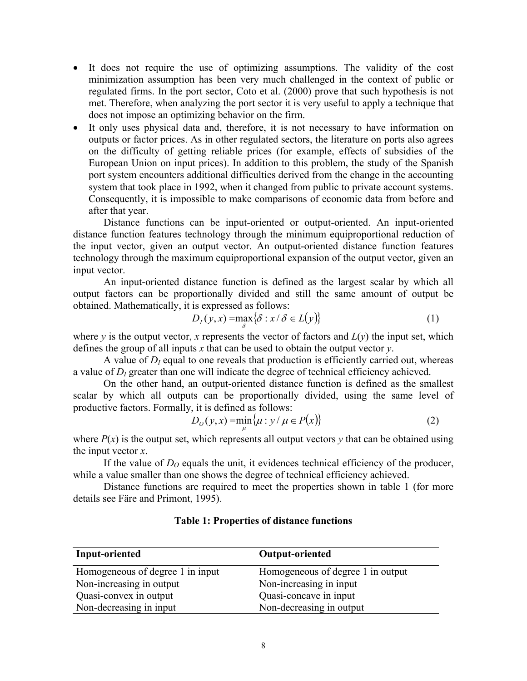- It does not require the use of optimizing assumptions. The validity of the cost minimization assumption has been very much challenged in the context of public or regulated firms. In the port sector, Coto et al. (2000) prove that such hypothesis is not met. Therefore, when analyzing the port sector it is very useful to apply a technique that does not impose an optimizing behavior on the firm.
- It only uses physical data and, therefore, it is not necessary to have information on outputs or factor prices. As in other regulated sectors, the literature on ports also agrees on the difficulty of getting reliable prices (for example, effects of subsidies of the European Union on input prices). In addition to this problem, the study of the Spanish port system encounters additional difficulties derived from the change in the accounting system that took place in 1992, when it changed from public to private account systems. Consequently, it is impossible to make comparisons of economic data from before and after that year.

Distance functions can be input-oriented or output-oriented. An input-oriented distance function features technology through the minimum equiproportional reduction of the input vector, given an output vector. An output-oriented distance function features technology through the maximum equiproportional expansion of the output vector, given an input vector.

An input-oriented distance function is defined as the largest scalar by which all output factors can be proportionally divided and still the same amount of output be obtained. Mathematically, it is expressed as follows:

$$
D_I(y, x) = \max_{\delta} \{ \delta : x / \delta \in L(y) \}
$$
 (1)

where *y* is the output vector, *x* represents the vector of factors and  $L(y)$  the input set, which defines the group of all inputs *x* that can be used to obtain the output vector *y*.

A value of  $D_l$  equal to one reveals that production is efficiently carried out, whereas a value of  $D_l$  greater than one will indicate the degree of technical efficiency achieved.

On the other hand, an output-oriented distance function is defined as the smallest scalar by which all outputs can be proportionally divided, using the same level of productive factors. Formally, it is defined as follows:

$$
D_{0}(y,x) = \min_{\mu} \{ \mu : y / \mu \in P(x) \}
$$
 (2)

where  $P(x)$  is the output set, which represents all output vectors  $y$  that can be obtained using the input vector *x*.

If the value of  $D<sub>O</sub>$  equals the unit, it evidences technical efficiency of the producer, while a value smaller than one shows the degree of technical efficiency achieved.

Distance functions are required to meet the properties shown in table 1 (for more details see Färe and Primont, 1995).

| Input-oriented                   | <b>Output-oriented</b>            |
|----------------------------------|-----------------------------------|
| Homogeneous of degree 1 in input | Homogeneous of degree 1 in output |
| Non-increasing in output         | Non-increasing in input           |
| Quasi-convex in output           | Quasi-concave in input            |
| Non-decreasing in input          | Non-decreasing in output          |

## **Table 1: Properties of distance functions**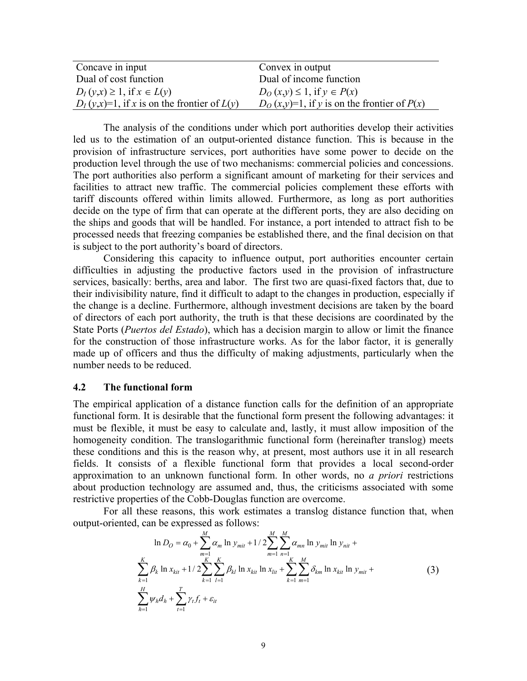| Concave in input                                 | Convex in output                                 |
|--------------------------------------------------|--------------------------------------------------|
| Dual of cost function                            | Dual of income function                          |
| $D_I(y,x) \geq 1$ , if $x \in L(y)$              | $D_O(x,y) \leq 1$ , if $y \in P(x)$              |
| $D_I(y,x)=1$ , if x is on the frontier of $L(y)$ | $D_O(x,y)=1$ , if y is on the frontier of $P(x)$ |

The analysis of the conditions under which port authorities develop their activities led us to the estimation of an output-oriented distance function. This is because in the provision of infrastructure services, port authorities have some power to decide on the production level through the use of two mechanisms: commercial policies and concessions. The port authorities also perform a significant amount of marketing for their services and facilities to attract new traffic. The commercial policies complement these efforts with tariff discounts offered within limits allowed. Furthermore, as long as port authorities decide on the type of firm that can operate at the different ports, they are also deciding on the ships and goods that will be handled. For instance, a port intended to attract fish to be processed needs that freezing companies be established there, and the final decision on that is subject to the port authority's board of directors.

Considering this capacity to influence output, port authorities encounter certain difficulties in adjusting the productive factors used in the provision of infrastructure services, basically: berths, area and labor. The first two are quasi-fixed factors that, due to their indivisibility nature, find it difficult to adapt to the changes in production, especially if the change is a decline. Furthermore, although investment decisions are taken by the board of directors of each port authority, the truth is that these decisions are coordinated by the State Ports (*Puertos del Estado*), which has a decision margin to allow or limit the finance for the construction of those infrastructure works. As for the labor factor, it is generally made up of officers and thus the difficulty of making adjustments, particularly when the number needs to be reduced.

#### **4.2 The functional form**

The empirical application of a distance function calls for the definition of an appropriate functional form. It is desirable that the functional form present the following advantages: it must be flexible, it must be easy to calculate and, lastly, it must allow imposition of the homogeneity condition. The translogarithmic functional form (hereinafter translog) meets these conditions and this is the reason why, at present, most authors use it in all research fields. It consists of a flexible functional form that provides a local second-order approximation to an unknown functional form. In other words, no *a priori* restrictions about production technology are assumed and, thus, the criticisms associated with some restrictive properties of the Cobb-Douglas function are overcome.

For all these reasons, this work estimates a translog distance function that, when output-oriented, can be expressed as follows:

$$
\ln D_O = \alpha_0 + \sum_{\substack{m=1 \ k-1}}^M \alpha_m \ln y_{mit} + 1/2 \sum_{m=1}^M \sum_{n=1}^M \alpha_{mn} \ln y_{mit} + \sum_{k=1}^K \beta_k \ln x_{kit} + 1/2 \sum_{k=1}^K \sum_{l=1}^K \beta_{kl} \ln x_{kit} \ln x_{lit} + \sum_{k=1}^K \sum_{m=1}^M \delta_{km} \ln x_{kit} \ln y_{mit} + \sum_{h=1}^H \gamma_t f_t + \varepsilon_{it}
$$
\n(3)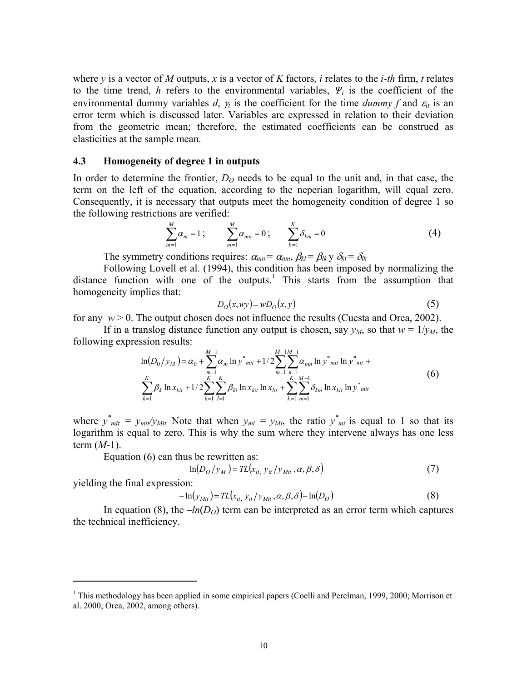where *y* is a vector of *M* outputs, *x* is a vector of *K* factors, *i* relates to the *i-th* firm, *t* relates to the time trend, *h* refers to the environmental variables,  $\Psi_t$  is the coefficient of the environmental dummy variables *d*,  $\gamma_t$  is the coefficient for the time *dummy f* and  $\varepsilon_{it}$  is an error term which is discussed later. Variables are expressed in relation to their deviation from the geometric mean; therefore, the estimated coefficients can be construed as elasticities at the sample mean.

#### **4.3 Homogeneity of degree 1 in outputs**

In order to determine the frontier,  $D<sub>O</sub>$  needs to be equal to the unit and, in that case, the term on the left of the equation, according to the neperian logarithm, will equal zero. Consequently, it is necessary that outputs meet the homogeneity condition of degree 1 so the following restrictions are verified:

$$
\sum_{m=1}^{M} \alpha_m = 1 \; ; \qquad \sum_{m=1}^{M} \alpha_{mn} = 0 \; ; \qquad \sum_{k=1}^{K} \delta_{km} = 0 \tag{4}
$$

The symmetry conditions requires:  $\alpha_{mn} = \alpha_{nm}, \beta_{kl} = \beta_{lk} y \delta_{kl} = \delta_{lk}$ 

Following Lovell et al. (1994), this condition has been imposed by normalizing the distance function with one of the outputs.<sup>1</sup> This starts from the assumption that homogeneity implies that:

$$
D_O(x, wy) = wD_O(x, y)
$$
\n(5)

for any  $w > 0$ . The output chosen does not influence the results (Cuesta and Orea, 2002).

If in a translog distance function any output is chosen, say  $y_M$ , so that  $w = 1/y_M$ , the following expression results:

$$
\ln(D_0/y_M) = \alpha_0 + \sum_{m=1}^{M-1} \alpha_m \ln y^*_{mit} + 1/2 \sum_{m=1}^{M-1} \sum_{n=1}^{M-1} \alpha_{mn} \ln y^*_{mit} \ln y^*_{mit} +
$$
  

$$
\sum_{k=1}^K \beta_k \ln x_{kit} + 1/2 \sum_{k=1}^K \sum_{l=1}^K \beta_{kl} \ln x_{kit} \ln x_{lit} + \sum_{k=1}^K \sum_{m=1}^K \delta_{km} \ln x_{kit} \ln y^*_{mit}
$$
 (6)

where  $y^*_{mit} = y_{mit}/y_{mit}$ . Note that when  $y_{mi} = y_{Mi}$ , the ratio  $y^*_{mi}$  is equal to 1 so that its logarithm is equal to zero. This is why the sum where they intervene always has one less term (*M*-1).

Equation (6) can thus be rewritten as:

$$
\ln(D_O/y_M) = TL(x_{it, y_{it}}/y_{Mit}, \alpha, \beta, \delta)
$$
\n(7)

yielding the final expression:

<u>.</u>

$$
-\ln(y_{\text{Mit}}) = TL(x_{it, y_{it}}/y_{\text{ Mit}}, \alpha, \beta, \delta) - \ln(D_O)
$$
\n(8)

In equation (8), the  $-h(D<sub>O</sub>)$  term can be interpreted as an error term which captures the technical inefficiency.

<sup>&</sup>lt;sup>1</sup> This methodology has been applied in some empirical papers (Coelli and Perelman, 1999, 2000; Morrison et al. 2000; Orea, 2002, among others).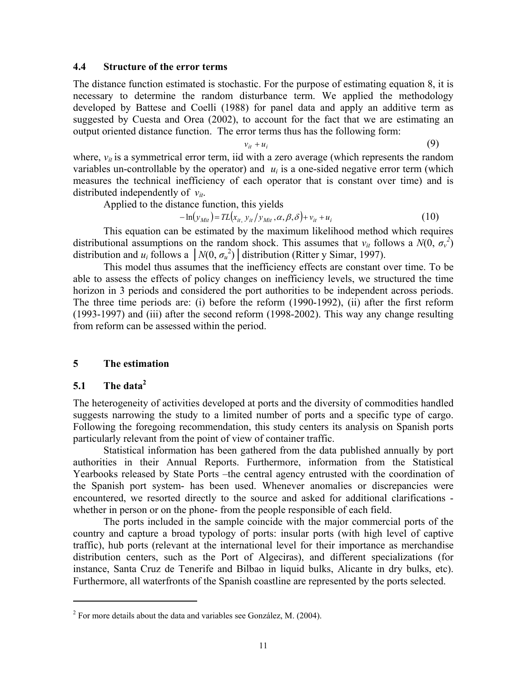### **4.4 Structure of the error terms**

The distance function estimated is stochastic. For the purpose of estimating equation 8, it is necessary to determine the random disturbance term. We applied the methodology developed by Battese and Coelli (1988) for panel data and apply an additive term as suggested by Cuesta and Orea (2002), to account for the fact that we are estimating an output oriented distance function. The error terms thus has the following form:

$$
v_{it} + u_i \tag{9}
$$

where,  $v_{it}$  is a symmetrical error term, iid with a zero average (which represents the random variables un-controllable by the operator) and  $u_i$  is a one-sided negative error term (which measures the technical inefficiency of each operator that is constant over time) and is distributed independently of *vit*.

Applied to the distance function, this yields

$$
-\ln(y_{\text{Mit}}) = TL(x_{it, y_{it}}/y_{\text{Mit}}, \alpha, \beta, \delta) + v_{it} + u_i
$$
\n(10)

This equation can be estimated by the maximum likelihood method which requires distributional assumptions on the random shock. This assumes that  $v_{it}$  follows a  $N(0, \sigma_v^2)$ distribution and  $u_i$  follows a  $\left| N(0, \sigma_u^2) \right|$  distribution (Ritter y Simar, 1997).

This model thus assumes that the inefficiency effects are constant over time. To be able to assess the effects of policy changes on inefficiency levels, we structured the time horizon in 3 periods and considered the port authorities to be independent across periods. The three time periods are: (i) before the reform (1990-1992), (ii) after the first reform (1993-1997) and (iii) after the second reform (1998-2002). This way any change resulting from reform can be assessed within the period.

## **5 The estimation**

## **5.1 The data2**

<u>.</u>

The heterogeneity of activities developed at ports and the diversity of commodities handled suggests narrowing the study to a limited number of ports and a specific type of cargo. Following the foregoing recommendation, this study centers its analysis on Spanish ports particularly relevant from the point of view of container traffic.

Statistical information has been gathered from the data published annually by port authorities in their Annual Reports. Furthermore, information from the Statistical Yearbooks released by State Ports –the central agency entrusted with the coordination of the Spanish port system- has been used. Whenever anomalies or discrepancies were encountered, we resorted directly to the source and asked for additional clarifications whether in person or on the phone- from the people responsible of each field.

The ports included in the sample coincide with the major commercial ports of the country and capture a broad typology of ports: insular ports (with high level of captive traffic), hub ports (relevant at the international level for their importance as merchandise distribution centers, such as the Port of Algeciras), and different specializations (for instance, Santa Cruz de Tenerife and Bilbao in liquid bulks, Alicante in dry bulks, etc). Furthermore, all waterfronts of the Spanish coastline are represented by the ports selected.

 $2^2$  For more details about the data and variables see González, M. (2004).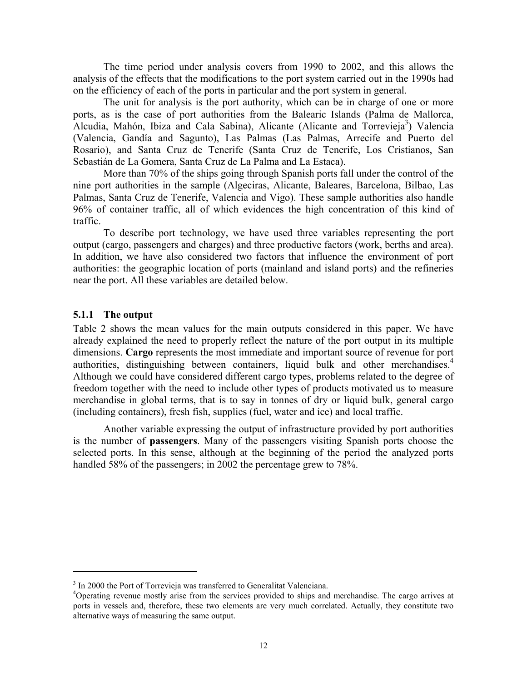The time period under analysis covers from 1990 to 2002, and this allows the analysis of the effects that the modifications to the port system carried out in the 1990s had on the efficiency of each of the ports in particular and the port system in general.

The unit for analysis is the port authority, which can be in charge of one or more ports, as is the case of port authorities from the Balearic Islands (Palma de Mallorca, Alcudia, Mahón, Ibiza and Cala Sabina), Alicante (Alicante and Torrevieja<sup>3</sup>) Valencia (Valencia, Gandía and Sagunto), Las Palmas (Las Palmas, Arrecife and Puerto del Rosario), and Santa Cruz de Tenerife (Santa Cruz de Tenerife, Los Cristianos, San Sebastián de La Gomera, Santa Cruz de La Palma and La Estaca).

More than 70% of the ships going through Spanish ports fall under the control of the nine port authorities in the sample (Algeciras, Alicante, Baleares, Barcelona, Bilbao, Las Palmas, Santa Cruz de Tenerife, Valencia and Vigo). These sample authorities also handle 96% of container traffic, all of which evidences the high concentration of this kind of traffic.

To describe port technology, we have used three variables representing the port output (cargo, passengers and charges) and three productive factors (work, berths and area). In addition, we have also considered two factors that influence the environment of port authorities: the geographic location of ports (mainland and island ports) and the refineries near the port. All these variables are detailed below.

## **5.1.1 The output**

<u>.</u>

Table 2 shows the mean values for the main outputs considered in this paper. We have already explained the need to properly reflect the nature of the port output in its multiple dimensions. **Cargo** represents the most immediate and important source of revenue for port authorities, distinguishing between containers, liquid bulk and other merchandises.<sup>4</sup> Although we could have considered different cargo types, problems related to the degree of freedom together with the need to include other types of products motivated us to measure merchandise in global terms, that is to say in tonnes of dry or liquid bulk, general cargo (including containers), fresh fish, supplies (fuel, water and ice) and local traffic.

Another variable expressing the output of infrastructure provided by port authorities is the number of **passengers**. Many of the passengers visiting Spanish ports choose the selected ports. In this sense, although at the beginning of the period the analyzed ports handled 58% of the passengers; in 2002 the percentage grew to 78%.

<sup>&</sup>lt;sup>3</sup> In 2000 the Port of Torrevieja was transferred to Generalitat Valenciana.

<sup>&</sup>lt;sup>4</sup>Operating revenue mostly arise from the services provided to ships and merchandise. The cargo arrives at ports in vessels and, therefore, these two elements are very much correlated. Actually, they constitute two alternative ways of measuring the same output.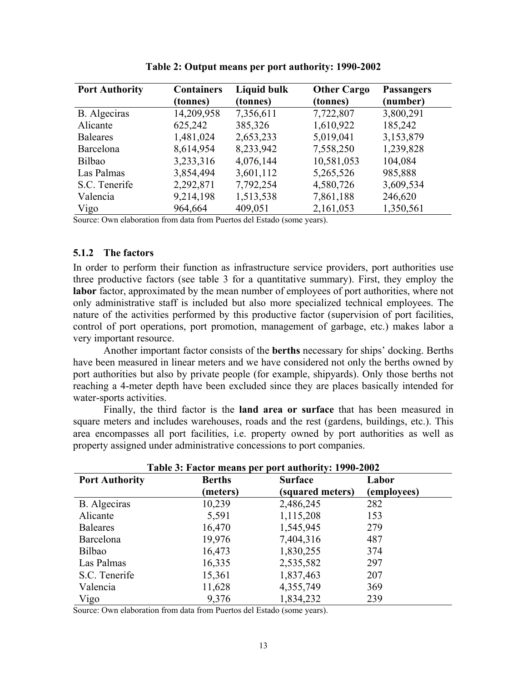| <b>Port Authority</b> | <b>Containers</b><br>(tonnes) | <b>Liquid bulk</b><br>(tonnes) | <b>Other Cargo</b><br>(tonnes) | <b>Passangers</b><br>(number) |
|-----------------------|-------------------------------|--------------------------------|--------------------------------|-------------------------------|
| B. Algeciras          | 14,209,958                    | 7,356,611                      | 7,722,807                      | 3,800,291                     |
| Alicante              | 625,242                       | 385,326                        | 1,610,922                      | 185,242                       |
| <b>Baleares</b>       | 1,481,024                     | 2,653,233                      | 5,019,041                      | 3,153,879                     |
| Barcelona             | 8,614,954                     | 8,233,942                      | 7,558,250                      | 1,239,828                     |
| Bilbao                | 3,233,316                     | 4,076,144                      | 10,581,053                     | 104,084                       |
| Las Palmas            | 3,854,494                     | 3,601,112                      | 5,265,526                      | 985,888                       |
| S.C. Tenerife         | 2,292,871                     | 7,792,254                      | 4,580,726                      | 3,609,534                     |
| Valencia              | 9,214,198                     | 1,513,538                      | 7,861,188                      | 246,620                       |
| Vigo                  | 964,664                       | 409,051                        | 2,161,053                      | 1,350,561                     |

**Table 2: Output means per port authority: 1990-2002** 

Source: Own elaboration from data from Puertos del Estado (some years).

### **5.1.2 The factors**

In order to perform their function as infrastructure service providers, port authorities use three productive factors (see table 3 for a quantitative summary). First, they employ the **labor** factor, approximated by the mean number of employees of port authorities, where not only administrative staff is included but also more specialized technical employees. The nature of the activities performed by this productive factor (supervision of port facilities, control of port operations, port promotion, management of garbage, etc.) makes labor a very important resource.

Another important factor consists of the **berths** necessary for ships' docking. Berths have been measured in linear meters and we have considered not only the berths owned by port authorities but also by private people (for example, shipyards). Only those berths not reaching a 4-meter depth have been excluded since they are places basically intended for water-sports activities.

Finally, the third factor is the **land area or surface** that has been measured in square meters and includes warehouses, roads and the rest (gardens, buildings, etc.). This area encompasses all port facilities, i.e. property owned by port authorities as well as property assigned under administrative concessions to port companies.

| Table 3: Factor means per port authority: 1990-2002 |               |                  |             |
|-----------------------------------------------------|---------------|------------------|-------------|
| <b>Port Authority</b>                               | <b>Berths</b> | <b>Surface</b>   |             |
|                                                     | (meters)      | (squared meters) | (employees) |
| B. Algeciras                                        | 10,239        | 2,486,245        | 282         |
| Alicante                                            | 5,591         | 1,115,208        | 153         |
| <b>Baleares</b>                                     | 16,470        | 1,545,945        | 279         |
| Barcelona                                           | 19,976        | 7,404,316        | 487         |
| <b>Bilbao</b>                                       | 16,473        | 1,830,255        | 374         |
| Las Palmas                                          | 16,335        | 2,535,582        | 297         |
| S.C. Tenerife                                       | 15,361        | 1,837,463        | 207         |
| Valencia                                            | 11,628        | 4,355,749        | 369         |
| Vigo                                                | 9,376         | 1,834,232        | 239         |

**Table 3: Factor means per port authority: 1990-2002** 

Source: Own elaboration from data from Puertos del Estado (some years).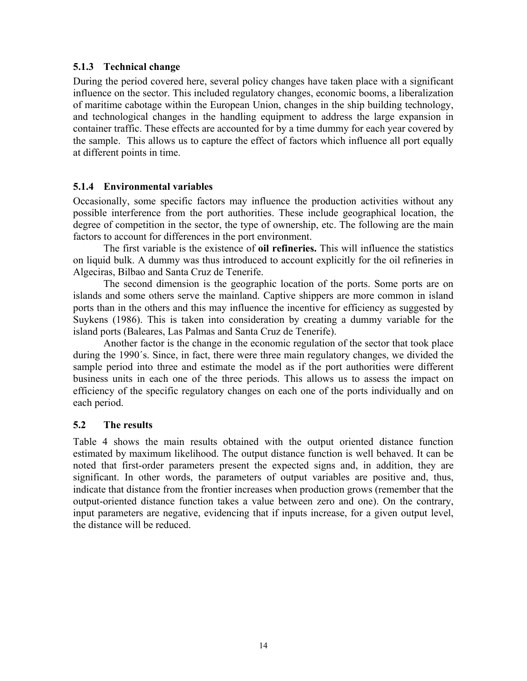## **5.1.3 Technical change**

During the period covered here, several policy changes have taken place with a significant influence on the sector. This included regulatory changes, economic booms, a liberalization of maritime cabotage within the European Union, changes in the ship building technology, and technological changes in the handling equipment to address the large expansion in container traffic. These effects are accounted for by a time dummy for each year covered by the sample. This allows us to capture the effect of factors which influence all port equally at different points in time.

## **5.1.4 Environmental variables**

Occasionally, some specific factors may influence the production activities without any possible interference from the port authorities. These include geographical location, the degree of competition in the sector, the type of ownership, etc. The following are the main factors to account for differences in the port environment.

The first variable is the existence of **oil refineries.** This will influence the statistics on liquid bulk. A dummy was thus introduced to account explicitly for the oil refineries in Algeciras, Bilbao and Santa Cruz de Tenerife.

 The second dimension is the geographic location of the ports. Some ports are on islands and some others serve the mainland. Captive shippers are more common in island ports than in the others and this may influence the incentive for efficiency as suggested by Suykens (1986). This is taken into consideration by creating a dummy variable for the island ports (Baleares, Las Palmas and Santa Cruz de Tenerife).

 Another factor is the change in the economic regulation of the sector that took place during the 1990´s. Since, in fact, there were three main regulatory changes, we divided the sample period into three and estimate the model as if the port authorities were different business units in each one of the three periods. This allows us to assess the impact on efficiency of the specific regulatory changes on each one of the ports individually and on each period.

## **5.2 The results**

Table 4 shows the main results obtained with the output oriented distance function estimated by maximum likelihood. The output distance function is well behaved. It can be noted that first-order parameters present the expected signs and, in addition, they are significant. In other words, the parameters of output variables are positive and, thus, indicate that distance from the frontier increases when production grows (remember that the output-oriented distance function takes a value between zero and one). On the contrary, input parameters are negative, evidencing that if inputs increase, for a given output level, the distance will be reduced.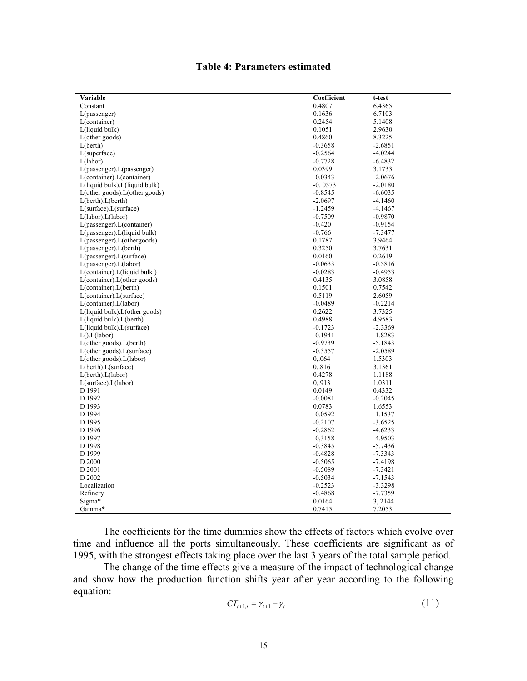## **Table 4: Parameters estimated**

| Variable                                      | Coefficient            | t-test                 |
|-----------------------------------------------|------------------------|------------------------|
| Constant                                      | 0.4807                 | 6.4365                 |
| $L(p$ assenger $)$                            | 0.1636                 | 6.7103                 |
| L(container)                                  | 0.2454                 | 5.1408                 |
| L(liquid bulk)                                | 0.1051                 | 2.9630                 |
| $L$ (other goods)                             | 0.4860                 | 8.3225                 |
| L(berth)                                      | $-0.3658$              | $-2.6851$              |
| $L$ (superface)                               | $-0.2564$              | $-4.0244$              |
| L(labor)                                      | $-0.7728$              | $-6.4832$              |
| $L(passenger)$ . $L(passenger)$               | 0.0399                 | 3.1733                 |
| L(container).L(container)                     | $-0.0343$              | $-2.0676$              |
| L(liquid bulk). L(liquid bulk)                | $-0.0573$              | $-2.0180$              |
| $L(\text{other goods}).L(\text{other goods})$ | $-0.8545$              | $-6.6035$              |
| L(berth). L(berth)                            | $-2.0697$              | $-4.1460$              |
| $L(surface)$ . $L(surface)$                   | $-1.2459$              | $-4.1467$              |
| L(labor).L(labor)                             | $-0.7509$              | $-0.9870$              |
| L(passenger).L(container)                     | $-0.420$               | $-0.9154$              |
| L(passenger). L(liquid bulk)                  | $-0.766$               | $-7.3477$              |
| L(passenger).L(othergoods)                    | 0.1787                 | 3.9464                 |
| L(passenger) L(berth)                         | 0.3250                 | 3.7631                 |
| $L(passenger)$ . $L(surface)$                 | 0.0160                 | 0.2619                 |
| L(passenger) L(labor)                         | $-0.0633$              | $-0.5816$              |
| L(container). L(liquid bulk)                  | $-0.0283$              | $-0.4953$              |
| L(container).L(other goods)                   | 0.4135                 | 3.0858                 |
| $L$ (container). $L$ (berth)                  | 0.1501                 | 0.7542                 |
| L(container).L(surface)                       | 0.5119                 | 2.6059                 |
| L(container).L(labor)                         | $-0.0489$              | $-0.2214$              |
| $L(liquid bulk) \cdot L(other goods)$         | 0.2622                 | 3.7325                 |
| L(liquid bulk). L(berth)                      | 0.4988                 | 4.9583                 |
| L(liquid bulk).L(surface)                     | $-0.1723$              | $-2.3369$              |
| L() L(labor)                                  | $-0.1941$              | $-1.8283$              |
| L(other goods).L(berth)                       | $-0.9739$              | $-5.1843$              |
| $L(\text{other goods}).L(\text{surface})$     | $-0.3557$              | $-2.0589$              |
| $L(\text{other goods}).L(\text{labor})$       | 0,064                  | 1.5303                 |
| L(berth). L(surface)                          | 0,816                  | 3.1361                 |
| L(berth).L(labor)                             | 0.4278                 | 1.1188                 |
| $L(surface)$ . $L(labor)$                     | 0,913                  | 1.0311                 |
| D 1991                                        | 0.0149                 | 0.4332                 |
| D 1992                                        | $-0.0081$              | $-0.2045$              |
| D 1993                                        | 0.0783                 | 1.6553                 |
| D 1994                                        | $-0.0592$              | $-1.1537$              |
| D 1995                                        | $-0.2107$              | $-3.6525$              |
| D 1996                                        | $-0.2862$              | $-4.6233$              |
| D 1997                                        | $-0,3158$              | $-4.9503$              |
| D 1998                                        | $-0,3845$              | $-5.7436$              |
| D 1999                                        | $-0.4828$              | $-7.3343$              |
| D 2000                                        | $-0.5065$              | $-7.4198$              |
| D 2001                                        |                        |                        |
| D 2002                                        | $-0.5089$<br>$-0.5034$ | $-7.3421$<br>$-7.1543$ |
| Localization                                  | $-0.2523$              |                        |
|                                               |                        | $-3.3298$              |
| Refinery                                      | $-0.4868$              | $-7.7359$              |
| Sigma*                                        | 0.0164                 | 3, 2144                |
| Gamma*                                        | 0.7415                 | 7.2053                 |

The coefficients for the time dummies show the effects of factors which evolve over time and influence all the ports simultaneously. These coefficients are significant as of 1995, with the strongest effects taking place over the last 3 years of the total sample period.

The change of the time effects give a measure of the impact of technological change and show how the production function shifts year after year according to the following equation:

$$
CT_{t+1,t} = \gamma_{t+1} - \gamma_t \tag{11}
$$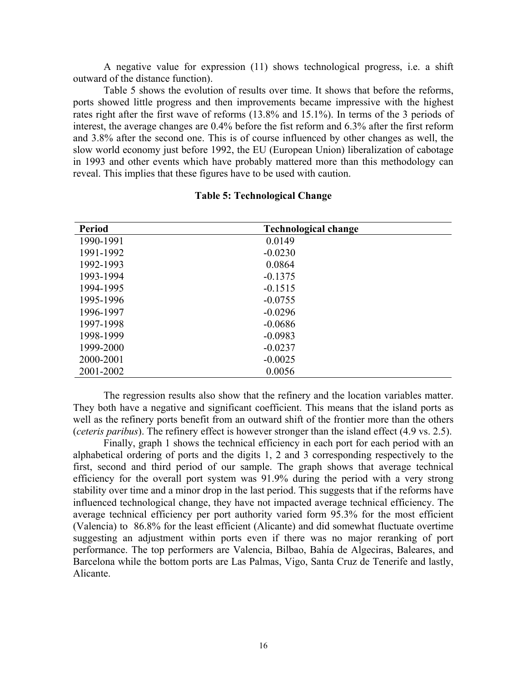A negative value for expression (11) shows technological progress, i.e. a shift outward of the distance function).

Table 5 shows the evolution of results over time. It shows that before the reforms, ports showed little progress and then improvements became impressive with the highest rates right after the first wave of reforms (13.8% and 15.1%). In terms of the 3 periods of interest, the average changes are 0.4% before the fist reform and 6.3% after the first reform and 3.8% after the second one. This is of course influenced by other changes as well, the slow world economy just before 1992, the EU (European Union) liberalization of cabotage in 1993 and other events which have probably mattered more than this methodology can reveal. This implies that these figures have to be used with caution.

| <b>Period</b> | <b>Technological change</b> |
|---------------|-----------------------------|
| 1990-1991     | 0.0149                      |
| 1991-1992     | $-0.0230$                   |
| 1992-1993     | 0.0864                      |
| 1993-1994     | $-0.1375$                   |
| 1994-1995     | $-0.1515$                   |
| 1995-1996     | $-0.0755$                   |
| 1996-1997     | $-0.0296$                   |
| 1997-1998     | $-0.0686$                   |
| 1998-1999     | $-0.0983$                   |
| 1999-2000     | $-0.0237$                   |
| 2000-2001     | $-0.0025$                   |
| 2001-2002     | 0.0056                      |

#### **Table 5: Technological Change**

The regression results also show that the refinery and the location variables matter. They both have a negative and significant coefficient. This means that the island ports as well as the refinery ports benefit from an outward shift of the frontier more than the others (*ceteris paribus*). The refinery effect is however stronger than the island effect (4.9 vs. 2.5).

 Finally, graph 1 shows the technical efficiency in each port for each period with an alphabetical ordering of ports and the digits 1, 2 and 3 corresponding respectively to the first, second and third period of our sample. The graph shows that average technical efficiency for the overall port system was 91.9% during the period with a very strong stability over time and a minor drop in the last period. This suggests that if the reforms have influenced technological change, they have not impacted average technical efficiency. The average technical efficiency per port authority varied form 95.3% for the most efficient (Valencia) to 86.8% for the least efficient (Alicante) and did somewhat fluctuate overtime suggesting an adjustment within ports even if there was no major reranking of port performance. The top performers are Valencia, Bilbao, Bahía de Algeciras, Baleares, and Barcelona while the bottom ports are Las Palmas, Vigo, Santa Cruz de Tenerife and lastly, Alicante.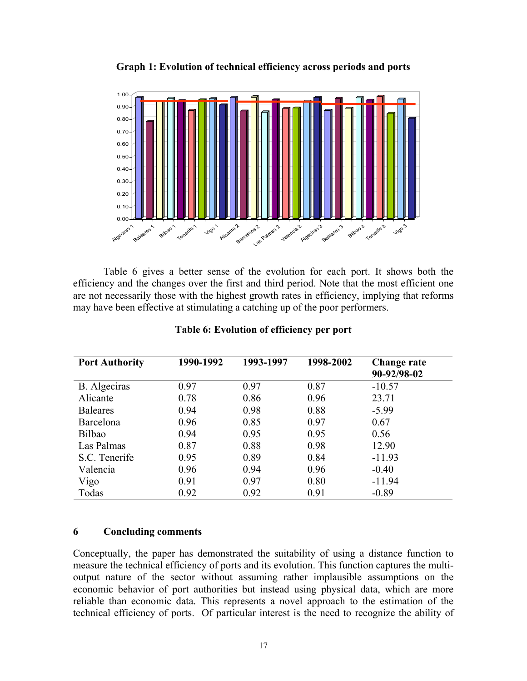**Graph 1: Evolution of technical efficiency across periods and ports** 



Table 6 gives a better sense of the evolution for each port. It shows both the efficiency and the changes over the first and third period. Note that the most efficient one are not necessarily those with the highest growth rates in efficiency, implying that reforms may have been effective at stimulating a catching up of the poor performers.

| <b>Port Authority</b> | 1990-1992 | 1993-1997 | 1998-2002 | Change rate<br>90-92/98-02 |
|-----------------------|-----------|-----------|-----------|----------------------------|
| B. Algeciras          | 0.97      | 0.97      | 0.87      | $-10.57$                   |
| Alicante              | 0.78      | 0.86      | 0.96      | 23.71                      |
| <b>Baleares</b>       | 0.94      | 0.98      | 0.88      | $-5.99$                    |
| Barcelona             | 0.96      | 0.85      | 0.97      | 0.67                       |
| Bilbao                | 0.94      | 0.95      | 0.95      | 0.56                       |
| Las Palmas            | 0.87      | 0.88      | 0.98      | 12.90                      |
| S.C. Tenerife         | 0.95      | 0.89      | 0.84      | $-11.93$                   |
| Valencia              | 0.96      | 0.94      | 0.96      | $-0.40$                    |
| Vigo                  | 0.91      | 0.97      | 0.80      | $-11.94$                   |
| Todas                 | 0.92      | 0.92      | 0.91      | $-0.89$                    |

### **Table 6: Evolution of efficiency per port**

## **6 Concluding comments**

Conceptually, the paper has demonstrated the suitability of using a distance function to measure the technical efficiency of ports and its evolution. This function captures the multioutput nature of the sector without assuming rather implausible assumptions on the economic behavior of port authorities but instead using physical data, which are more reliable than economic data. This represents a novel approach to the estimation of the technical efficiency of ports. Of particular interest is the need to recognize the ability of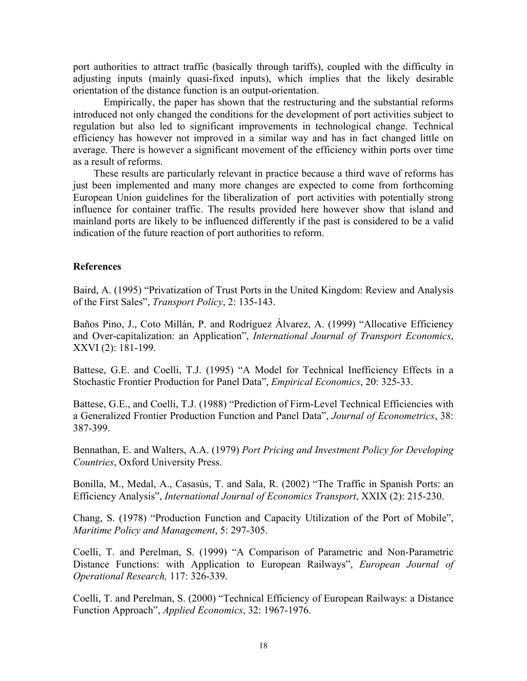port authorities to attract traffic (basically through tariffs), coupled with the difficulty in adjusting inputs (mainly quasi-fixed inputs), which implies that the likely desirable orientation of the distance function is an output-orientation.

Empirically, the paper has shown that the restructuring and the substantial reforms introduced not only changed the conditions for the development of port activities subject to regulation but also led to significant improvements in technological change. Technical efficiency has however not improved in a similar way and has in fact changed little on average. There is however a significant movement of the efficiency within ports over time as a result of reforms.

 These results are particularly relevant in practice because a third wave of reforms has just been implemented and many more changes are expected to come from forthcoming European Union guidelines for the liberalization of port activities with potentially strong influence for container traffic. The results provided here however show that island and mainland ports are likely to be influenced differently if the past is considered to be a valid indication of the future reaction of port authorities to reform.

### **References**

Baird, A. (1995) "Privatization of Trust Ports in the United Kingdom: Review and Analysis of the First Sales", *Transport Policy*, 2: 135-143.

Baños Pino, J., Coto Millán, P. and Rodríguez Álvarez, A. (1999) "Allocative Efficiency and Over-capitalization: an Application", *International Journal of Transport Economics*, XXVI (2): 181-199.

Battese, G.E. and Coelli, T.J. (1995) "A Model for Technical Inefficiency Effects in a Stochastic Frontier Production for Panel Data", *Empirical Economics*, 20: 325-33.

Battese, G.E., and Coelli, T.J. (1988) "Prediction of Firm-Level Technical Efficiencies with a Generalized Frontier Production Function and Panel Data", *Journal of Econometrics*, 38: 387-399.

Bennathan, E. and Walters, A.A. (1979) *Port Pricing and Investment Policy for Developing Countries*, Oxford University Press.

Bonilla, M., Medal, A., Casasús, T. and Sala, R. (2002) "The Traffic in Spanish Ports: an Efficiency Analysis", *International Journal of Economics Transport*, XXIX (2): 215-230.

Chang, S. (1978) "Production Function and Capacity Utilization of the Port of Mobile", *Maritime Policy and Management*, 5: 297-305.

Coelli, T. and Perelman, S. (1999) "A Comparison of Parametric and Non-Parametric Distance Functions: with Application to European Railways", *European Journal of Operational Research,* 117: 326-339.

Coelli, T. and Perelman, S. (2000) "Technical Efficiency of European Railways: a Distance Function Approach", *Applied Economics*, 32: 1967-1976.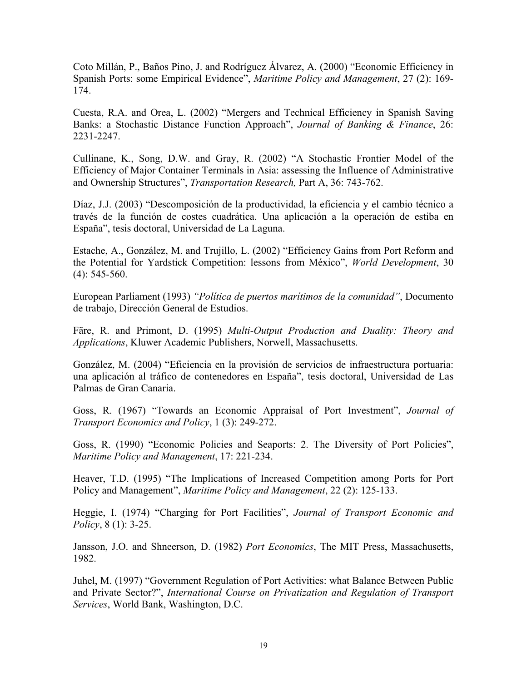Coto Millán, P., Baños Pino, J. and Rodríguez Álvarez, A. (2000) "Economic Efficiency in Spanish Ports: some Empirical Evidence", *Maritime Policy and Management*, 27 (2): 169- 174.

Cuesta, R.A. and Orea, L. (2002) "Mergers and Technical Efficiency in Spanish Saving Banks: a Stochastic Distance Function Approach", *Journal of Banking & Finance*, 26: 2231-2247.

Cullinane, K., Song, D.W. and Gray, R. (2002) "A Stochastic Frontier Model of the Efficiency of Major Container Terminals in Asia: assessing the Influence of Administrative and Ownership Structures", *Transportation Research,* Part A, 36: 743-762.

Díaz, J.J. (2003) "Descomposición de la productividad, la eficiencia y el cambio técnico a través de la función de costes cuadrática. Una aplicación a la operación de estiba en España", tesis doctoral, Universidad de La Laguna.

Estache, A., González, M. and Trujillo, L. (2002) "Efficiency Gains from Port Reform and the Potential for Yardstick Competition: lessons from México", *World Development*, 30 (4): 545-560.

European Parliament (1993) *"Política de puertos marítimos de la comunidad"*, Documento de trabajo, Dirección General de Estudios.

Färe, R. and Primont, D. (1995) *Multi-Output Production and Duality: Theory and Applications*, Kluwer Academic Publishers, Norwell, Massachusetts.

González, M. (2004) "Eficiencia en la provisión de servicios de infraestructura portuaria: una aplicación al tráfico de contenedores en España", tesis doctoral, Universidad de Las Palmas de Gran Canaria.

Goss, R. (1967) "Towards an Economic Appraisal of Port Investment", *Journal of Transport Economics and Policy*, 1 (3): 249-272.

Goss, R. (1990) "Economic Policies and Seaports: 2. The Diversity of Port Policies", *Maritime Policy and Management*, 17: 221-234.

Heaver, T.D. (1995) "The Implications of Increased Competition among Ports for Port Policy and Management", *Maritime Policy and Management*, 22 (2): 125-133.

Heggie, I. (1974) "Charging for Port Facilities", *Journal of Transport Economic and Policy*, 8 (1): 3-25.

Jansson, J.O. and Shneerson, D. (1982) *Port Economics*, The MIT Press, Massachusetts, 1982.

Juhel, M. (1997) "Government Regulation of Port Activities: what Balance Between Public and Private Sector?", *International Course on Privatization and Regulation of Transport Services*, World Bank, Washington, D.C.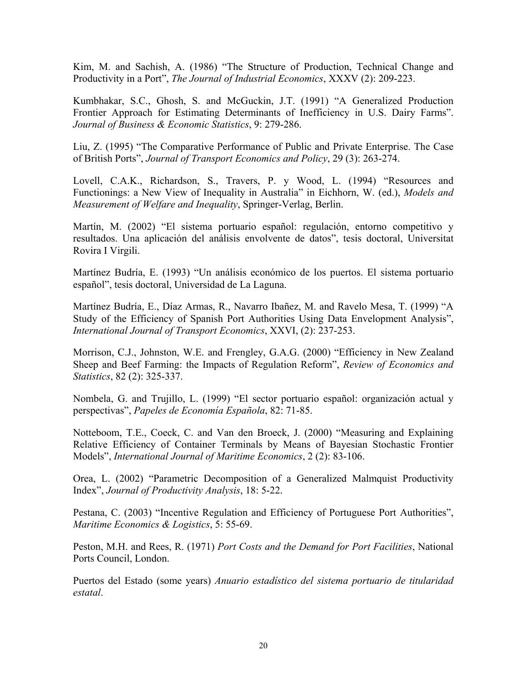Kim, M. and Sachish, A. (1986) "The Structure of Production, Technical Change and Productivity in a Port", *The Journal of Industrial Economics*, XXXV (2): 209-223.

Kumbhakar, S.C., Ghosh, S. and McGuckin, J.T. (1991) "A Generalized Production Frontier Approach for Estimating Determinants of Inefficiency in U.S. Dairy Farms". *Journal of Business & Economic Statistics*, 9: 279-286.

Liu, Z. (1995) "The Comparative Performance of Public and Private Enterprise. The Case of British Ports", *Journal of Transport Economics and Policy*, 29 (3): 263-274.

Lovell, C.A.K., Richardson, S., Travers, P. y Wood, L. (1994) "Resources and Functionings: a New View of Inequality in Australia" in Eichhorn, W. (ed.), *Models and Measurement of Welfare and Inequality*, Springer-Verlag, Berlin.

Martín, M. (2002) "El sistema portuario español: regulación, entorno competitivo y resultados. Una aplicación del análisis envolvente de datos", tesis doctoral, Universitat Rovira I Virgili.

Martínez Budría, E. (1993) "Un análisis económico de los puertos. El sistema portuario español", tesis doctoral, Universidad de La Laguna.

Martínez Budría, E., Díaz Armas, R., Navarro Ibañez, M. and Ravelo Mesa, T. (1999) "A Study of the Efficiency of Spanish Port Authorities Using Data Envelopment Analysis", *International Journal of Transport Economics*, XXVI, (2): 237-253.

Morrison, C.J., Johnston, W.E. and Frengley, G.A.G. (2000) "Efficiency in New Zealand Sheep and Beef Farming: the Impacts of Regulation Reform", *Review of Economics and Statistics*, 82 (2): 325-337.

Nombela, G. and Trujillo, L. (1999) "El sector portuario español: organización actual y perspectivas", *Papeles de Economía Española*, 82: 71-85.

Notteboom, T.E., Coeck, C. and Van den Broeck, J. (2000) "Measuring and Explaining Relative Efficiency of Container Terminals by Means of Bayesian Stochastic Frontier Models", *International Journal of Maritime Economics*, 2 (2): 83-106.

Orea, L. (2002) "Parametric Decomposition of a Generalized Malmquist Productivity Index", *Journal of Productivity Analysis*, 18: 5-22.

Pestana, C. (2003) "Incentive Regulation and Efficiency of Portuguese Port Authorities", *Maritime Economics & Logistics*, 5: 55-69.

Peston, M.H. and Rees, R. (1971) *Port Costs and the Demand for Port Facilities*, National Ports Council, London.

Puertos del Estado (some years) *Anuario estadístico del sistema portuario de titularidad estatal*.